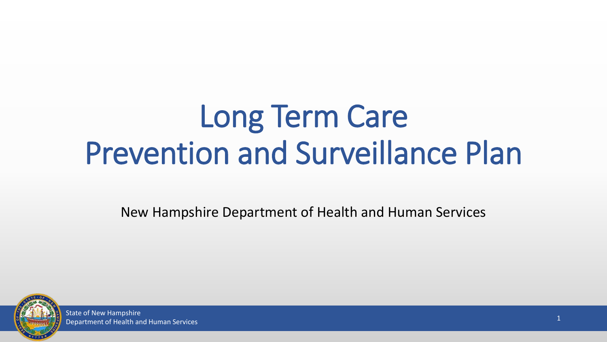# Long Term Care Prevention and Surveillance Plan

New Hampshire Department of Health and Human Services



State of New Hampshire Department of Health and Human Services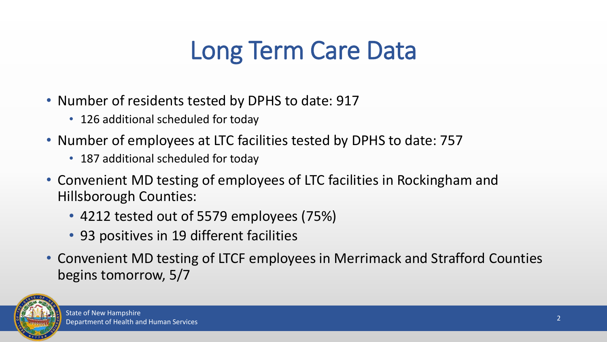#### Long Term Care Data

- Number of residents tested by DPHS to date: 917
	- 126 additional scheduled for today
- Number of employees at LTC facilities tested by DPHS to date: 757
	- 187 additional scheduled for today
- Convenient MD testing of employees of LTC facilities in Rockingham and Hillsborough Counties:
	- 4212 tested out of 5579 employees (75%)
	- 93 positives in 19 different facilities
- Convenient MD testing of LTCF employees in Merrimack and Strafford Counties begins tomorrow, 5/7

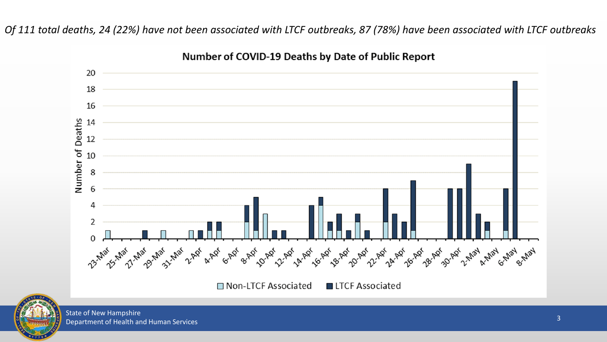*Of 111 total deaths, 24 (22%) have not been associated with LTCF outbreaks, 87 (78%) have been associated with LTCF outbreaks*



Number of COVID-19 Deaths by Date of Public Report

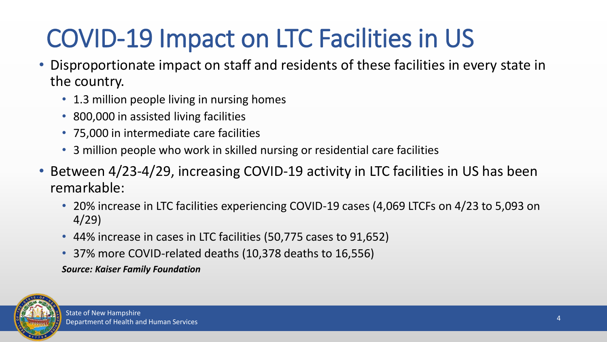# COVID-19 Impact on LTC Facilities in US

- Disproportionate impact on staff and residents of these facilities in every state in the country.
	- 1.3 million people living in nursing homes
	- 800,000 in assisted living facilities
	- 75,000 in intermediate care facilities
	- 3 million people who work in skilled nursing or residential care facilities
- Between 4/23-4/29, increasing COVID-19 activity in LTC facilities in US has been remarkable:
	- 20% increase in LTC facilities experiencing COVID-19 cases (4,069 LTCFs on 4/23 to 5,093 on 4/29)
	- 44% increase in cases in LTC facilities (50,775 cases to 91,652)
	- 37% more COVID-related deaths (10,378 deaths to 16,556)

*Source: Kaiser Family Foundation*

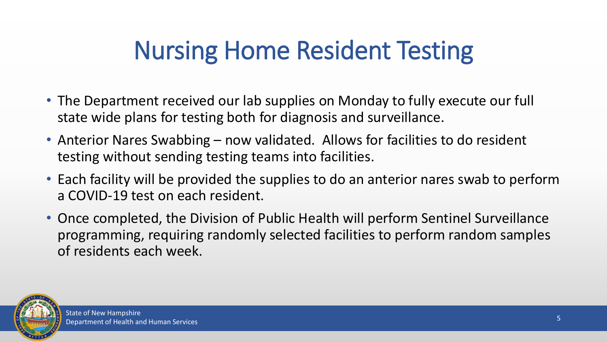#### Nursing Home Resident Testing

- The Department received our lab supplies on Monday to fully execute our full state wide plans for testing both for diagnosis and surveillance.
- Anterior Nares Swabbing now validated. Allows for facilities to do resident testing without sending testing teams into facilities.
- Each facility will be provided the supplies to do an anterior nares swab to perform a COVID-19 test on each resident.
- Once completed, the Division of Public Health will perform Sentinel Surveillance programming, requiring randomly selected facilities to perform random samples of residents each week.

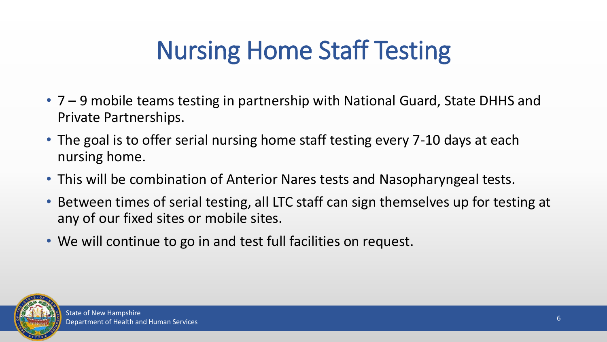# Nursing Home Staff Testing

- 7 9 mobile teams testing in partnership with National Guard, State DHHS and Private Partnerships.
- The goal is to offer serial nursing home staff testing every 7-10 days at each nursing home.
- This will be combination of Anterior Nares tests and Nasopharyngeal tests.
- Between times of serial testing, all LTC staff can sign themselves up for testing at any of our fixed sites or mobile sites.
- We will continue to go in and test full facilities on request.

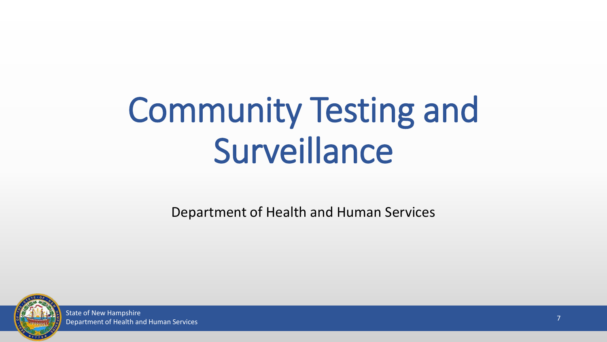# Community Testing and Surveillance

Department of Health and Human Services



State of New Hampshire Department of Health and Human Services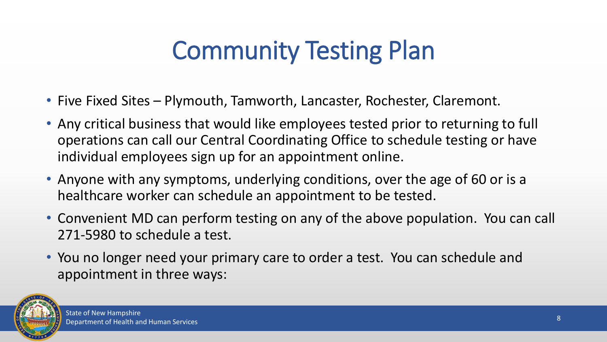# Community Testing Plan

- Five Fixed Sites Plymouth, Tamworth, Lancaster, Rochester, Claremont.
- Any critical business that would like employees tested prior to returning to full operations can call our Central Coordinating Office to schedule testing or have individual employees sign up for an appointment online.
- Anyone with any symptoms, underlying conditions, over the age of 60 or is a healthcare worker can schedule an appointment to be tested.
- Convenient MD can perform testing on any of the above population. You can call 271-5980 to schedule a test.
- You no longer need your primary care to order a test. You can schedule and appointment in three ways: